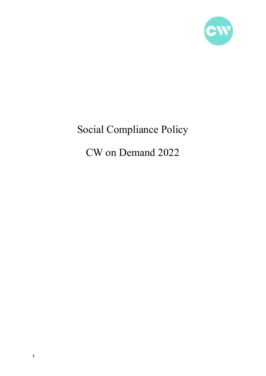

# Social Compliance Policy

# CW on Demand 2022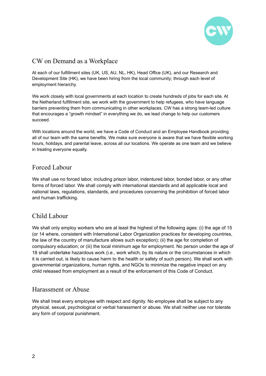

## CW on Demand as a Workplace

At each of our fulfillment sites (UK, US, AU, NL, HK), Head Office (UK), and our Research and Development Site (HK), we have been hiring from the local community; through each level of employment hierarchy.

We work closely with local governments at each location to create hundreds of jobs for each site. At the Netherland fulfillment site, we work with the government to help refugees, who have language barriers preventing them from communicating in other workplaces. CW has a strong team-led culture that encourages a "growth mindset" in everything we do, we lead change to help our customers succeed.

With locations around the world, we have a Code of Conduct and an Employee Handbook providing all of our team with the same benefits. We make sure everyone is aware that we have flexible working hours, holidays, and parental leave, across all our locations. We operate as one team and we believe in treating everyone equally.

## Forced Labour

We shall use no forced labor, including prison labor, indentured labor, bonded labor, or any other forms of forced labor. We shall comply with international standards and all applicable local and national laws, regulations, standards, and procedures concerning the prohibition of forced labor and human trafficking.

## Child Labour

We shall only employ workers who are at least the highest of the following ages: (i) the age of 15 (or 14 where, consistent with International Labor Organization practices for developing countries, the law of the country of manufacture allows such exception); (ii) the age for completion of compulsory education; or (iii) the local minimum age for employment. No person under the age of 18 shall undertake hazardous work (i.e., work which, by its nature or the circumstances in which it is carried out, is likely to cause harm to the health or safety of such person). We shall work with governmental organizations, human rights, and NGOs to minimize the negative impact on any child released from employment as a result of the enforcement of this Code of Conduct.

#### Harassment or Abuse

We shall treat every employee with respect and dignity. No employee shall be subject to any physical, sexual, psychological or verbal harassment or abuse. We shall neither use nor tolerate any form of corporal punishment.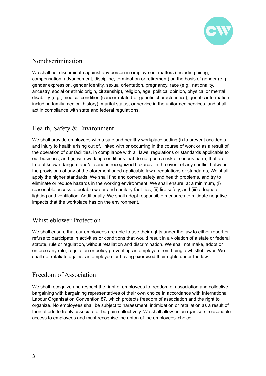

#### Nondiscrimination

We shall not discriminate against any person in employment matters (including hiring, compensation, advancement, discipline, termination or retirement) on the basis of gender (e.g., gender expression, gender identity, sexual orientation, pregnancy, race (e.g., nationality, ancestry, social or ethnic origin, citizenship), religion, age, political opinion, physical or mental disability (e.g., medical condition (cancer-related or genetic characteristics), genetic information including family medical history), marital status, or service in the uniformed services, and shall act in compliance with state and federal regulations.

## Health, Safety & Environment

We shall provide employees with a safe and healthy workplace setting (i) to prevent accidents and injury to health arising out of, linked with or occurring in the course of work or as a result of the operation of our facilities, in compliance with all laws, regulations or standards applicable to our business, and (ii) with working conditions that do not pose a risk of serious harm, that are free of known dangers and/or serious recognized hazards. In the event of any conflict between the provisions of any of the aforementioned applicable laws, regulations or standards, We shall apply the higher standards. We shall find and correct safety and health problems, and try to eliminate or reduce hazards in the working environment. We shall ensure, at a minimum, (i) reasonable access to potable water and sanitary facilities, (ii) fire safety, and (iii) adequate lighting and ventilation. Additionally, We shall adopt responsible measures to mitigate negative impacts that the workplace has on the environment.

#### Whistleblower Protection

We shall ensure that our employees are able to use their rights under the law to either report or refuse to participate in activities or conditions that would result in a violation of a state or federal statute, rule or regulation, without retaliation and discrimination. We shall not make, adopt or enforce any rule, regulation or policy preventing an employee from being a whistleblower. We shall not retaliate against an employee for having exercised their rights under the law.

#### Freedom of Association

We shall recognize and respect the right of employees to freedom of association and collective bargaining with bargaining representatives of their own choice in accordance with International Labour Organisation Convention 87, which protects freedom of association and the right to organize. No employees shall be subject to harassment, intimidation or retaliation as a result of their efforts to freely associate or bargain collectively. We shall allow union rganisers reasonable access to employees and must recognise the union of the employees' choice.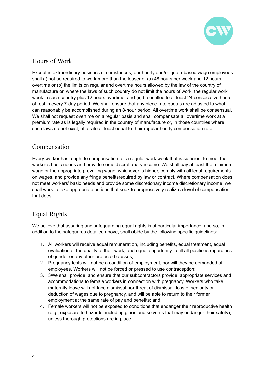

## Hours of Work

Except in extraordinary business circumstances, our hourly and/or quota-based wage employees shall (i) not be required to work more than the lesser of (a) 48 hours per week and 12 hours overtime or (b) the limits on regular and overtime hours allowed by the law of the country of manufacture or, where the laws of such country do not limit the hours of work, the regular work week in such country plus 12 hours overtime; and (ii) be entitled to at least 24 consecutive hours of rest in every 7-day period. We shall ensure that any piece-rate quotas are adjusted to what can reasonably be accomplished during an 8-hour period. All overtime work shall be consensual. We shall not request overtime on a reqular basis and shall compensate all overtime work at a premium rate as is legally required in the country of manufacture or, in those countries where such laws do not exist, at a rate at least equal to their regular hourly compensation rate.

#### Compensation

Every worker has a right to compensation for a regular work week that is sufficient to meet the worker's basic needs and provide some discretionary income. We shall pay at least the minimum wage or the appropriate prevailing wage, whichever is higher, comply with all legal requirements on wages, and provide any fringe benefitsrequired by law or contract. Where compensation does not meet workers' basic needs and provide some discretionary income discretionary income, we shall work to take appropriate actions that seek to progressively realize a level of compensation that does.

# Equal Rights

We believe that assuring and safeguarding equal rights is of particular importance, and so, in addition to the safeguards detailed above, shall abide by the following specific guidelines:

- 1. All workers will receive equal remuneration, including benefits, equal treatment, equal evaluation of the quality of their work, and equal opportunity to fill all positions regardless of gender or any other protected classes;
- 2. Pregnancy tests will not be a condition of employment, nor will they be demanded of employees. Workers will not be forced or pressed to use contraception;
- 3. 3We shall provide, and ensure that our subcontractors provide, appropriate services and accommodations to female workers in connection with pregnancy. Workers who take maternity leave will not face dismissal nor threat of dismissal, loss of seniority or deduction of wages due to pregnancy, and will be able to return to their former employment at the same rate of pay and benefits; and
- 4. Female workers will not be exposed to conditions that endanger their reproductive health (e.g., exposure to hazards, including glues and solvents that may endanger their safety), unless thorough protections are in place.